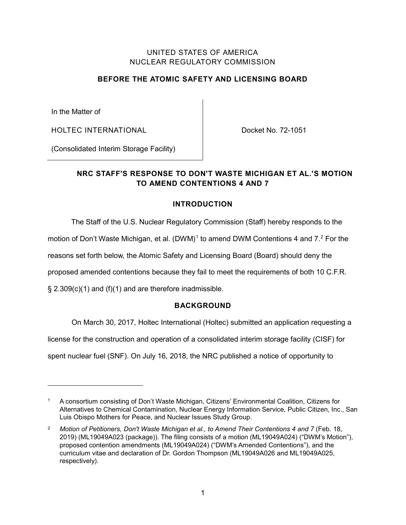### UNITED STATES OF AMERICA NUCLEAR REGULATORY COMMISSION

### **BEFORE THE ATOMIC SAFETY AND LICENSING BOARD**

In the Matter of

 $\overline{a}$ 

HOLTEC INTERNATIONAL

Docket No. 72-1051

(Consolidated Interim Storage Facility)

## **NRC STAFF'S RESPONSE TO DON'T WASTE MICHIGAN ET AL.'S MOTION TO AMEND CONTENTIONS 4 AND 7**

### **INTRODUCTION**

The Staff of the U.S. Nuclear Regulatory Commission (Staff) hereby responds to the

motion of Don't Waste Michigan, et al.  $(DWM)^1$  $(DWM)^1$  to amend DWM Contentions 4 and  $7<sup>2</sup>$  $7<sup>2</sup>$  $7<sup>2</sup>$  For the

reasons set forth below, the Atomic Safety and Licensing Board (Board) should deny the

proposed amended contentions because they fail to meet the requirements of both 10 C.F.R.

§ 2.309(c)(1) and (f)(1) and are therefore inadmissible.

### **BACKGROUND**

On March 30, 2017, Holtec International (Holtec) submitted an application requesting a

license for the construction and operation of a consolidated interim storage facility (CISF) for

spent nuclear fuel (SNF). On July 16, 2018, the NRC published a notice of opportunity to

<span id="page-0-0"></span><sup>1</sup> A consortium consisting of Don't Waste Michigan, Citizens' Environmental Coalition, Citizens for Alternatives to Chemical Contamination, Nuclear Energy Information Service, Public Citizen, Inc., San Luis Obispo Mothers for Peace, and Nuclear Issues Study Group.

<span id="page-0-1"></span><sup>&</sup>lt;sup>2</sup> Motion of Petitioners, Don't Waste Michigan et al., to Amend Their Contentions 4 and 7 (Feb. 18, 2019) (ML19049A023 (package)). The filing consists of a motion (ML19049A024) ("DWM's Motion"), proposed contention amendments (ML19049A024) ("DWM's Amended Contentions"), and the curriculum vitae and declaration of Dr. Gordon Thompson (ML19049A026 and ML19049A025, respectively).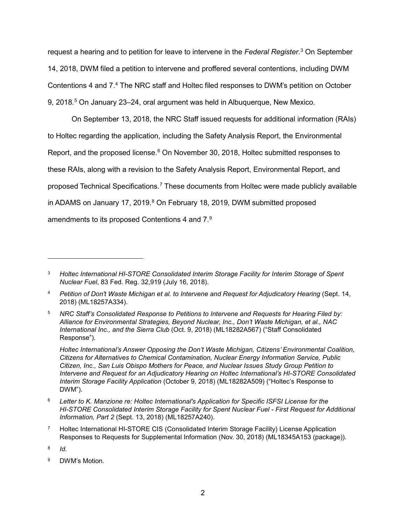<span id="page-1-4"></span>request a hearing and to petition for leave to intervene in the *Federal Register*. [3](#page-1-0) On September 14, 2018, DWM filed a petition to intervene and proffered several contentions, including DWM Contentions 4 and 7. [4](#page-1-1) The NRC staff and Holtec filed responses to DWM's petition on October 9, 2018.<sup>[5](#page-1-2)</sup> On January 23–24, oral argument was held in Albuquerque, New Mexico.

On September 13, 2018, the NRC Staff issued requests for additional information (RAIs) to Holtec regarding the application, including the Safety Analysis Report, the Environmental Report, and the proposed license.<sup>[6](#page-1-3)</sup> On November 30, 2018, Holtec submitted responses to these RAIs, along with a revision to the Safety Analysis Report, Environmental Report, and proposed Technical Specifications.<sup>[7](#page-1-4)</sup> These documents from Holtec were made publicly available in ADAMS on January 17, 2019.<sup>[8](#page-1-4)</sup> On February 18, 2019, DWM submitted proposed amendments to its proposed Contentions 4 and 7.[9](#page-1-4)

*Holtec International's Answer Opposing the Don't Waste Michigan, Citizens' Environmental Coalition, Citizens for Alternatives to Chemical Contamination, Nuclear Energy Information Service, Public Citizen, Inc., San Luis Obispo Mothers for Peace, and Nuclear Issues Study Group Petition to Intervene and Request for an Adjudicatory Hearing on Holtec International's HI-STORE Consolidated Interim Storage Facility Application* (October 9, 2018) (ML18282A509) ("Holtec's Response to DWM").

- <span id="page-1-3"></span><sup>6</sup> *Letter to K. Manzione re: Holtec International's Application for Specific ISFSI License for the HI-STORE Consolidated Interim Storage Facility for Spent Nuclear Fuel - First Request for Additional Information, Part 2* (Sept. 13, 2018) (ML18257A240).
- <sup>7</sup> Holtec International HI-STORE CIS (Consolidated Interim Storage Facility) License Application Responses to Requests for Supplemental Information (Nov. 30, 2018) (ML18345A153 (package)).

 $\overline{a}$ 

<sup>9</sup> DWM's Motion.

<span id="page-1-0"></span><sup>3</sup> *Holtec International HI-STORE Consolidated Interim Storage Facility for Interim Storage of Spent Nuclear Fuel*, 83 Fed. Reg. 32,919 (July 16, 2018).

<span id="page-1-1"></span><sup>4</sup> *Petition of Don't Waste Michigan et al. to Intervene and Request for Adjudicatory Hearing* (Sept. 14, 2018) (ML18257A334).

<span id="page-1-2"></span><sup>5</sup> *NRC Staff's Consolidated Response to Petitions to Intervene and Requests for Hearing Filed by: Alliance for Environmental Strategies, Beyond Nuclear, Inc., Don't Waste Michigan, et al., NAC International Inc., and the Sierra Club* (Oct. 9, 2018) (ML18282A567) ("Staff Consolidated Response").

<sup>8</sup> *Id.*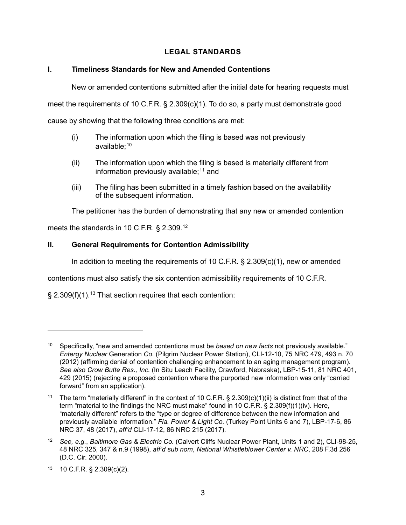## **LEGAL STANDARDS**

### **I. Timeliness Standards for New and Amended Contentions**

New or amended contentions submitted after the initial date for hearing requests must

meet the requirements of 10 C.F.R. § 2.309(c)(1). To do so, a party must demonstrate good

cause by showing that the following three conditions are met:

- (i) The information upon which the filing is based was not previously available:  $10$
- (ii) The information upon which the filing is based is materially different from information previously available;<sup>[11](#page-2-1)</sup> and
- (iii) The filing has been submitted in a timely fashion based on the availability of the subsequent information.

The petitioner has the burden of demonstrating that any new or amended contention

meets the standards in 10 C.F.R. § 2.309.[12](#page-2-2)

### **II. General Requirements for Contention Admissibility**

In addition to meeting the requirements of 10 C.F.R. § 2.309(c)(1), new or amended

contentions must also satisfy the six contention admissibility requirements of 10 C.F.R.

 $\S$  2.309(f)(1).<sup>[13](#page-2-3)</sup> That section requires that each contention:

<span id="page-2-0"></span><sup>10</sup> Specifically, "new and amended contentions must be *based on new facts* not previously available." *Entergy Nuclear* Generation *Co.* (Pilgrim Nuclear Power Station), CLI-12-10, 75 NRC 479, 493 n. 70 (2012) (affirming denial of contention challenging enhancement to an aging management program). *See also Crow Butte Res., Inc.* (In Situ Leach Facility, Crawford, Nebraska), LBP-15-11, 81 NRC 401, 429 (2015) (rejecting a proposed contention where the purported new information was only "carried forward" from an application).

<span id="page-2-1"></span>The term "materially different" in the context of 10 C.F.R. §  $2.309(c)(1)(ii)$  is distinct from that of the term "material to the findings the NRC must make" found in 10 C.F.R. § 2.309(f)(1)(iv). Here, "materially different" refers to the "type or degree of difference between the new information and previously available information." *Fla. Power & Light Co.* (Turkey Point Units 6 and 7), LBP-17-6, 86 NRC 37, 48 (2017), *aff'd* CLI-17-12, 86 NRC 215 (2017).

<span id="page-2-2"></span><sup>12</sup> *See, e.g.*, *Baltimore Gas & Electric Co.* (Calvert Cliffs Nuclear Power Plant, Units 1 and 2), CLI-98-25, 48 NRC 325, 347 & n.9 (1998), *aff'd sub nom*, *National Whistleblower Center v. NRC*, 208 F.3d 256 (D.C. Cir. 2000).

<span id="page-2-3"></span><sup>13</sup> 10 C.F.R. § 2.309(c)(2).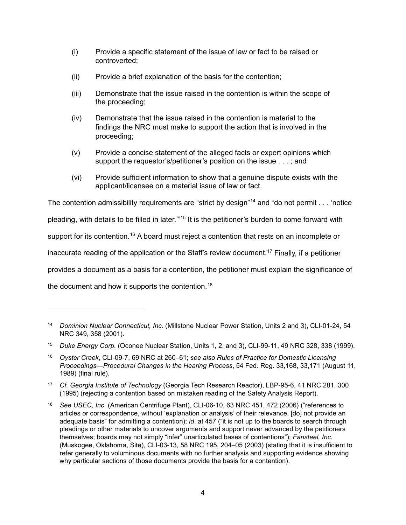- <span id="page-3-1"></span>(i) Provide a specific statement of the issue of law or fact to be raised or controverted;
- (ii) Provide a brief explanation of the basis for the contention;
- (iii) Demonstrate that the issue raised in the contention is within the scope of the proceeding;
- (iv) Demonstrate that the issue raised in the contention is material to the findings the NRC must make to support the action that is involved in the proceeding;
- (v) Provide a concise statement of the alleged facts or expert opinions which support the requestor's/petitioner's position on the issue . . . ; and
- (vi) Provide sufficient information to show that a genuine dispute exists with the applicant/licensee on a material issue of law or fact.

The contention admissibility requirements are "strict by design"<sup>[14](#page-3-0)</sup> and "do not permit . . . 'notice

pleading, with details to be filled in later."<sup>[15](#page-3-1)</sup> It is the petitioner's burden to come forward with

support for its contention.<sup>[16](#page-3-1)</sup> A board must reject a contention that rests on an incomplete or

inaccurate reading of the application or the Staff's review document.[17](#page-3-1) Finally, if a petitioner

provides a document as a basis for a contention, the petitioner must explain the significance of

the document and how it supports the contention.<sup>[18](#page-3-1)</sup>

<span id="page-3-0"></span><sup>14</sup> *Dominion Nuclear Connecticut, Inc.* (Millstone Nuclear Power Station, Units 2 and 3), CLI-01-24, 54 NRC 349, 358 (2001).

<sup>15</sup> *Duke Energy Corp.* (Oconee Nuclear Station, Units 1, 2, and 3), CLI-99-11, 49 NRC 328, 338 (1999).

<sup>16</sup> *Oyster Creek*, CLI-09-7, 69 NRC at 260–61; *see also Rules of Practice for Domestic Licensing Proceedings*—*Procedural Changes in the Hearing Process*, 54 Fed. Reg. 33,168, 33,171 (August 11, 1989) (final rule).

<sup>17</sup> *Cf. Georgia Institute of Technology* (Georgia Tech Research Reactor), LBP-95-6, 41 NRC 281, 300 (1995) (rejecting a contention based on mistaken reading of the Safety Analysis Report).

<sup>18</sup> *See USEC, Inc*. (American Centrifuge Plant), CLI-06-10, 63 NRC 451, 472 (2006) ("references to articles or correspondence, without 'explanation or analysis' of their relevance, [do] not provide an adequate basis" for admitting a contention); *id*. at 457 ("it is not up to the boards to search through pleadings or other materials to uncover arguments and support never advanced by the petitioners themselves; boards may not simply "infer" unarticulated bases of contentions"); *Fansteel, Inc.* (Muskogee, Oklahoma, Site), CLI-03-13, 58 NRC 195, 204–05 (2003) (stating that it is insufficient to refer generally to voluminous documents with no further analysis and supporting evidence showing why particular sections of those documents provide the basis for a contention).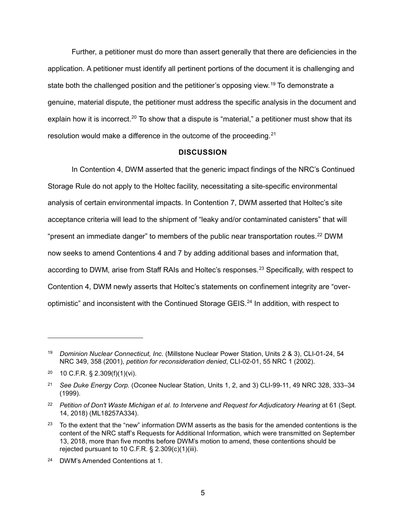<span id="page-4-1"></span>Further, a petitioner must do more than assert generally that there are deficiencies in the application. A petitioner must identify all pertinent portions of the document it is challenging and state both the challenged position and the petitioner's opposing view.<sup>[19](#page-4-0)</sup> To demonstrate a genuine, material dispute, the petitioner must address the specific analysis in the document and explain how it is incorrect.<sup>20</sup> To show that a dispute is "material," a petitioner must show that its resolution would make a difference in the outcome of the proceeding.<sup>[21](#page-4-1)</sup>

#### **DISCUSSION**

In Contention 4, DWM asserted that the generic impact findings of the NRC's Continued Storage Rule do not apply to the Holtec facility, necessitating a site-specific environmental analysis of certain environmental impacts. In Contention 7, DWM asserted that Holtec's site acceptance criteria will lead to the shipment of "leaky and/or contaminated canisters" that will "present an immediate danger" to members of the public near transportation routes.<sup>[22](#page-4-2)</sup> DWM now seeks to amend Contentions 4 and 7 by adding additional bases and information that, according to DWM, arise from Staff RAIs and Holtec's responses.<sup>[23](#page-4-1)</sup> Specifically, with respect to Contention 4, DWM newly asserts that Holtec's statements on confinement integrity are "over-optimistic" and inconsistent with the Continued Storage GEIS.<sup>[24](#page-4-1)</sup> In addition, with respect to

<span id="page-4-0"></span><sup>19</sup> *Dominion Nuclear Connecticut, Inc.* (Millstone Nuclear Power Station, Units 2 & 3), CLI-01-24, 54 NRC 349, 358 (2001), *petition for reconsideration denied*, CLI-02-01, 55 NRC 1 (2002).

<sup>20</sup> 10 C.F.R. § 2.309(f)(1)(vi).

<sup>21</sup> *See Duke Energy Corp.* (Oconee Nuclear Station, Units 1, 2, and 3) CLI-99-11, 49 NRC 328, 333–34 (1999).

<span id="page-4-2"></span><sup>&</sup>lt;sup>22</sup> Petition of Don't Waste Michigan et al. to Intervene and Request for Adjudicatory Hearing at 61 (Sept. 14, 2018) (ML18257A334).

<sup>&</sup>lt;sup>23</sup> To the extent that the "new" information DWM asserts as the basis for the amended contentions is the content of the NRC staff's Requests for Additional Information, which were transmitted on September 13, 2018, more than five months before DWM's motion to amend, these contentions should be rejected pursuant to 10 C.F.R.  $\S$  2.309(c)(1)(iii).

<sup>24</sup> DWM's Amended Contentions at 1.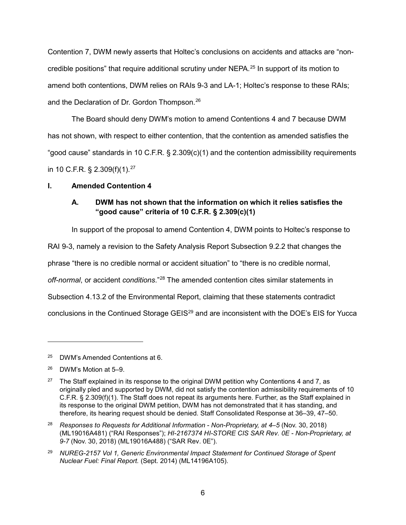<span id="page-5-4"></span>Contention 7, DWM newly asserts that Holtec's conclusions on accidents and attacks are "noncredible positions" that require additional scrutiny under NEPA.[25](#page-5-0) In support of its motion to amend both contentions, DWM relies on RAIs 9-3 and LA-1; Holtec's response to these RAIs; and the Declaration of Dr. Gordon Thompson.[26](#page-5-1)

The Board should deny DWM's motion to amend Contentions 4 and 7 because DWM has not shown, with respect to either contention, that the contention as amended satisfies the "good cause" standards in 10 C.F.R. § 2.309(c)(1) and the contention admissibility requirements in 10 C.F.R. § 2.309(f)(1).[27](#page-5-2)

### **I. Amended Contention 4**

# **A. DWM has not shown that the information on which it relies satisfies the "good cause" criteria of 10 C.F.R. § 2.309(c)(1)**

In support of the proposal to amend Contention 4, DWM points to Holtec's response to

RAI 9-3, namely a revision to the Safety Analysis Report Subsection 9.2.2 that changes the

phrase "there is no credible normal or accident situation" to "there is no credible normal,

*off-normal*, or accident *conditions*."[28](#page-5-3) The amended contention cites similar statements in

Subsection 4.13.2 of the Environmental Report, claiming that these statements contradict

conclusions in the Continued Storage GEIS<sup>[29](#page-5-4)</sup> and are inconsistent with the DOE's EIS for Yucca

<span id="page-5-0"></span><sup>25</sup> DWM's Amended Contentions at 6.

<span id="page-5-1"></span><sup>26</sup> DWM's Motion at 5–9.

<span id="page-5-2"></span><sup>&</sup>lt;sup>27</sup> The Staff explained in its response to the original DWM petition why Contentions 4 and 7, as originally pled and supported by DWM, did not satisfy the contention admissibility requirements of 10 C.F.R. § 2.309(f)(1). The Staff does not repeat its arguments here. Further, as the Staff explained in its response to the original DWM petition, DWM has not demonstrated that it has standing, and therefore, its hearing request should be denied. Staff Consolidated Response at 36–39, 47–50.

<span id="page-5-3"></span><sup>28</sup> *Responses to Requests for Additional Information - Non-Proprietary, at 4–5* (Nov. 30, 2018) (ML19016A481) ("RAI Responses"); *HI-2167374 HI-STORE CIS SAR Rev. 0E - Non-Proprietary, at 9-7* (Nov. 30, 2018) (ML19016A488) ("SAR Rev. 0E").

<sup>29</sup> *NUREG-2157 Vol 1, Generic Environmental Impact Statement for Continued Storage of Spent Nuclear Fuel: Final Report.* (Sept. 2014) (ML14196A105).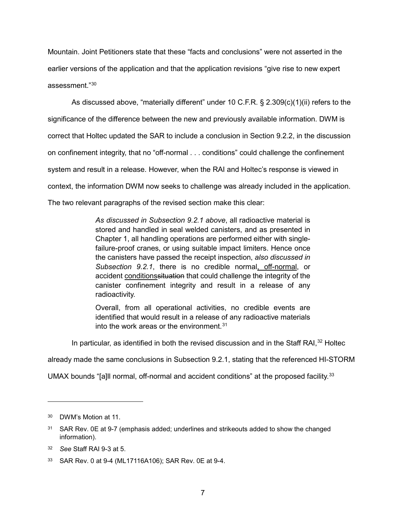<span id="page-6-3"></span>Mountain. Joint Petitioners state that these "facts and conclusions" were not asserted in the earlier versions of the application and that the application revisions "give rise to new expert assessment."[30](#page-6-0)

As discussed above, "materially different" under 10 C.F.R. § 2.309(c)(1)(ii) refers to the significance of the difference between the new and previously available information. DWM is correct that Holtec updated the SAR to include a conclusion in Section 9.2.2, in the discussion on confinement integrity, that no "off-normal . . . conditions" could challenge the confinement system and result in a release. However, when the RAI and Holtec's response is viewed in context, the information DWM now seeks to challenge was already included in the application. The two relevant paragraphs of the revised section make this clear:

> *As discussed in Subsection 9.2.1 above*, all radioactive material is stored and handled in seal welded canisters, and as presented in Chapter 1, all handling operations are performed either with singlefailure-proof cranes, or using suitable impact limiters. Hence once the canisters have passed the receipt inspection, *also discussed in Subsection 9.2.1*, there is no credible normal, off-normal, or accident conditionssituation that could challenge the integrity of the canister confinement integrity and result in a release of any radioactivity.

> Overall, from all operational activities, no credible events are identified that would result in a release of any radioactive materials into the work areas or the environment.  $31$

In particular, as identified in both the revised discussion and in the Staff RAI, $^{32}$  $^{32}$  $^{32}$  Holtec

already made the same conclusions in Subsection 9.2.1, stating that the referenced HI-STORM

UMAX bounds "[a]ll normal, off-normal and accident conditions" at the proposed facility.<sup>[33](#page-6-3)</sup>

<span id="page-6-0"></span><sup>30</sup> DWM's Motion at 11.

<span id="page-6-1"></span><sup>&</sup>lt;sup>31</sup> SAR Rev. 0E at 9-7 (emphasis added; underlines and strikeouts added to show the changed information).

<span id="page-6-2"></span><sup>32</sup> *See* Staff RAI 9-3 at 5.

<sup>33</sup> SAR Rev. 0 at 9-4 (ML17116A106); SAR Rev. 0E at 9-4.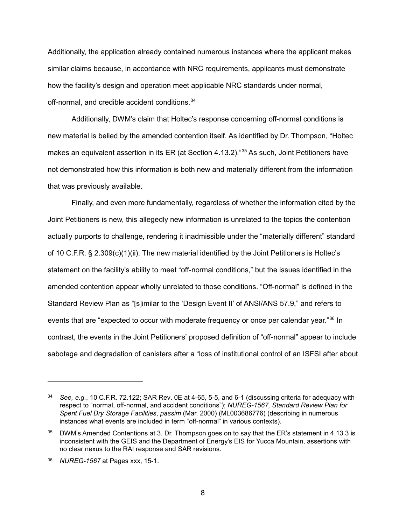Additionally, the application already contained numerous instances where the applicant makes similar claims because, in accordance with NRC requirements, applicants must demonstrate how the facility's design and operation meet applicable NRC standards under normal, off-normal, and credible accident conditions. [34](#page-7-0)

Additionally, DWM's claim that Holtec's response concerning off-normal conditions is new material is belied by the amended contention itself. As identified by Dr. Thompson, "Holtec makes an equivalent assertion in its ER (at Section 4.13.2)."<sup>[35](#page-7-1)</sup> As such, Joint Petitioners have not demonstrated how this information is both new and materially different from the information that was previously available.

Finally, and even more fundamentally, regardless of whether the information cited by the Joint Petitioners is new, this allegedly new information is unrelated to the topics the contention actually purports to challenge, rendering it inadmissible under the "materially different" standard of 10 C.F.R. § 2.309(c)(1)(ii). The new material identified by the Joint Petitioners is Holtec's statement on the facility's ability to meet "off-normal conditions," but the issues identified in the amended contention appear wholly unrelated to those conditions. "Off-normal" is defined in the Standard Review Plan as "[s]imilar to the 'Design Event II' of ANSI/ANS 57.9," and refers to events that are "expected to occur with moderate frequency or once per calendar year."[36](#page-7-2) In contrast, the events in the Joint Petitioners' proposed definition of "off-normal" appear to include sabotage and degradation of canisters after a "loss of institutional control of an ISFSI after about

<span id="page-7-0"></span><sup>34</sup> *See, e.g.*, 10 C.F.R. 72.122; SAR Rev. 0E at 4-65, 5-5, and 6-1 (discussing criteria for adequacy with respect to "normal, off-normal, and accident conditions"); *NUREG-1567, Standard Review Plan for Spent Fuel Dry Storage Facilities*, *passim* (Mar. 2000) (ML003686776) (describing in numerous instances what events are included in term "off-normal" in various contexts).

<span id="page-7-1"></span><sup>35</sup> DWM's Amended Contentions at 3. Dr. Thompson goes on to say that the ER's statement in 4.13.3 is inconsistent with the GEIS and the Department of Energy's EIS for Yucca Mountain, assertions with no clear nexus to the RAI response and SAR revisions.

<span id="page-7-2"></span><sup>36</sup> *NUREG-1567* at Pages xxx, 15-1.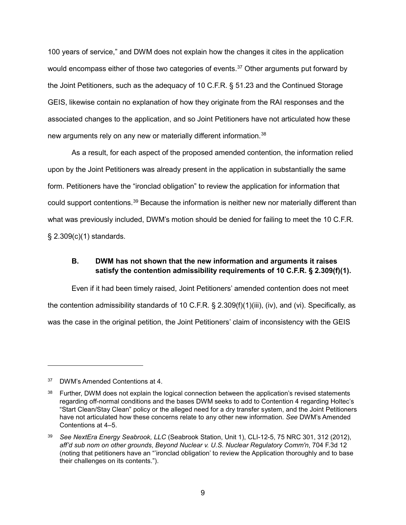100 years of service," and DWM does not explain how the changes it cites in the application would encompass either of those two categories of events.<sup>[37](#page-8-0)</sup> Other arguments put forward by the Joint Petitioners, such as the adequacy of 10 C.F.R. § 51.23 and the Continued Storage GEIS, likewise contain no explanation of how they originate from the RAI responses and the associated changes to the application, and so Joint Petitioners have not articulated how these new arguments rely on any new or materially different information.<sup>[38](#page-8-1)</sup>

As a result, for each aspect of the proposed amended contention, the information relied upon by the Joint Petitioners was already present in the application in substantially the same form. Petitioners have the "ironclad obligation" to review the application for information that could support contentions.[39](#page-8-2) Because the information is neither new nor materially different than what was previously included, DWM's motion should be denied for failing to meet the 10 C.F.R. § 2.309(c)(1) standards.

## **B. DWM has not shown that the new information and arguments it raises satisfy the contention admissibility requirements of 10 C.F.R. § 2.309(f)(1).**

Even if it had been timely raised, Joint Petitioners' amended contention does not meet the contention admissibility standards of 10 C.F.R. § 2.309(f)(1)(iii), (iv), and (vi). Specifically, as was the case in the original petition, the Joint Petitioners' claim of inconsistency with the GEIS

<span id="page-8-0"></span><sup>37</sup> DWM's Amended Contentions at 4.

<span id="page-8-1"></span><sup>&</sup>lt;sup>38</sup> Further, DWM does not explain the logical connection between the application's revised statements regarding off-normal conditions and the bases DWM seeks to add to Contention 4 regarding Holtec's "Start Clean/Stay Clean" policy or the alleged need for a dry transfer system, and the Joint Petitioners have not articulated how these concerns relate to any other new information. *See* DWM's Amended Contentions at 4–5.

<span id="page-8-2"></span><sup>39</sup> *See NextEra Energy Seabrook, LLC* (Seabrook Station, Unit 1), CLI-12-5, 75 NRC 301, 312 (2012), *aff'd sub nom on other grounds*, *Beyond Nuclear v. U.S. Nuclear Regulatory Comm'n*, 704 F.3d 12 (noting that petitioners have an "'ironclad obligation' to review the Application thoroughly and to base their challenges on its contents.").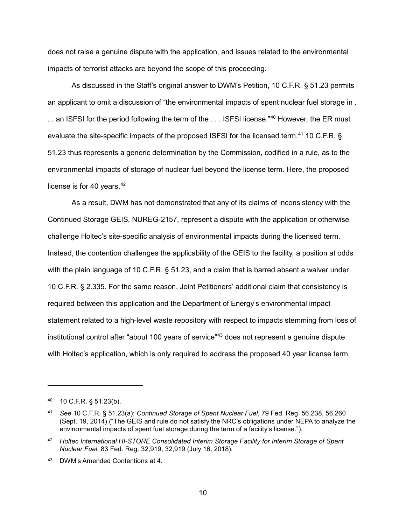<span id="page-9-1"></span>does not raise a genuine dispute with the application, and issues related to the environmental impacts of terrorist attacks are beyond the scope of this proceeding.

As discussed in the Staff's original answer to DWM's Petition, 10 C.F.R. § 51.23 permits an applicant to omit a discussion of "the environmental impacts of spent nuclear fuel storage in . .. an ISFSI for the period following the term of the ... ISFSI license."<sup>[40](#page-9-0)</sup> However, the ER must evaluate the site-specific impacts of the proposed ISFSI for the licensed term.<sup>[41](#page-9-1)</sup> 10 C.F.R. § 51.23 thus represents a generic determination by the Commission, codified in a rule, as to the environmental impacts of storage of nuclear fuel beyond the license term. Here, the proposed license is for 40 years. $42$ 

As a result, DWM has not demonstrated that any of its claims of inconsistency with the Continued Storage GEIS, NUREG-2157, represent a dispute with the application or otherwise challenge Holtec's site-specific analysis of environmental impacts during the licensed term. Instead, the contention challenges the applicability of the GEIS to the facility, a position at odds with the plain language of 10 C.F.R. § 51.23, and a claim that is barred absent a waiver under 10 C.F.R. § 2.335. For the same reason, Joint Petitioners' additional claim that consistency is required between this application and the Department of Energy's environmental impact statement related to a high-level waste repository with respect to impacts stemming from loss of institutional control after "about 100 years of service"<sup>[43](#page-9-2)</sup> does not represent a genuine dispute with Holtec's application, which is only required to address the proposed 40 year license term.

<span id="page-9-0"></span><sup>40</sup> 10 C.F.R. § 51.23(b).

<sup>41</sup> *See* 10 C.F.R. § 51.23(a); *Continued Storage of Spent Nuclear Fuel*, 79 Fed. Reg. 56,238, 56,260 (Sept. 19, 2014) ("The GEIS and rule do not satisfy the NRC's obligations under NEPA to analyze the environmental impacts of spent fuel storage during the term of a facility's license.").

<sup>42</sup> *Holtec International HI-STORE Consolidated Interim Storage Facility for Interim Storage of Spent Nuclear Fuel*, 83 Fed. Reg. 32,919, 32,919 (July 16, 2018).

<span id="page-9-2"></span><sup>43</sup> DWM's Amended Contentions at 4.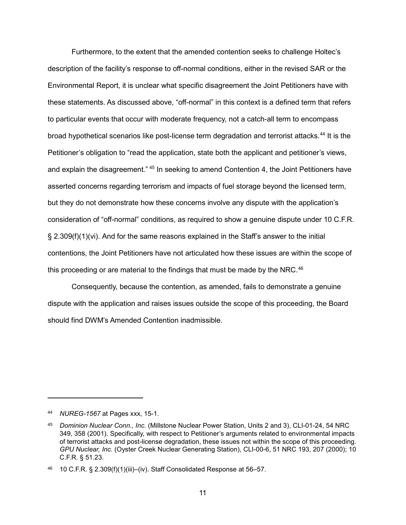<span id="page-10-1"></span>Furthermore, to the extent that the amended contention seeks to challenge Holtec's description of the facility's response to off-normal conditions, either in the revised SAR or the Environmental Report, it is unclear what specific disagreement the Joint Petitioners have with these statements. As discussed above, "off-normal" in this context is a defined term that refers to particular events that occur with moderate frequency, not a catch-all term to encompass broad hypothetical scenarios like post-license term degradation and terrorist attacks. [44](#page-10-0) It is the Petitioner's obligation to "read the application, state both the applicant and petitioner's views, and explain the disagreement." <sup>[45](#page-10-1)</sup> In seeking to amend Contention 4, the Joint Petitioners have asserted concerns regarding terrorism and impacts of fuel storage beyond the licensed term, but they do not demonstrate how these concerns involve any dispute with the application's consideration of "off-normal" conditions, as required to show a genuine dispute under 10 C.F.R. § 2.309(f)(1)(vi). And for the same reasons explained in the Staff's answer to the initial contentions, the Joint Petitioners have not articulated how these issues are within the scope of this proceeding or are material to the findings that must be made by the NRC.<sup>[46](#page-10-1)</sup>

Consequently, because the contention, as amended, fails to demonstrate a genuine dispute with the application and raises issues outside the scope of this proceeding, the Board should find DWM's Amended Contention inadmissible.

<span id="page-10-0"></span><sup>44</sup> *NUREG-1567* at Pages xxx, 15-1.

<sup>45</sup> *Dominion Nuclear Conn., Inc.* (Millstone Nuclear Power Station, Units 2 and 3), CLI-01-24, 54 NRC 349, 358 (2001). Specifically, with respect to Petitioner's arguments related to environmental impacts of terrorist attacks and post-license degradation, these issues not within the scope of this proceeding. *GPU Nuclear, Inc.* (Oyster Creek Nuclear Generating Station), CLI-00-6, 51 NRC 193, 207 (2000); 10 C.F.R. § 51.23.

<sup>46</sup> 10 C.F.R. § 2.309(f)(1)(iii)–(iv). Staff Consolidated Response at 56–57.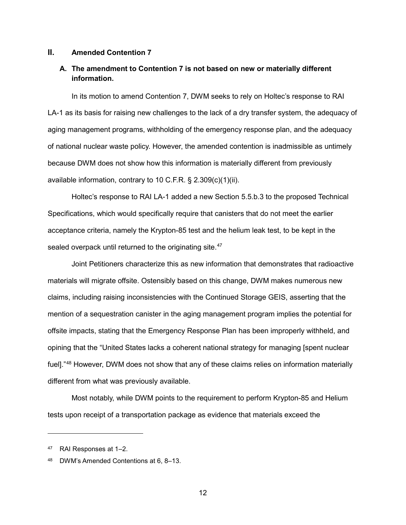#### **II. Amended Contention 7**

### **A. The amendment to Contention 7 is not based on new or materially different information.**

In its motion to amend Contention 7, DWM seeks to rely on Holtec's response to RAI LA-1 as its basis for raising new challenges to the lack of a dry transfer system, the adequacy of aging management programs, withholding of the emergency response plan, and the adequacy of national nuclear waste policy. However, the amended contention is inadmissible as untimely because DWM does not show how this information is materially different from previously available information, contrary to 10 C.F.R. § 2.309(c)(1)(ii).

Holtec's response to RAI LA-1 added a new Section 5.5.b.3 to the proposed Technical Specifications, which would specifically require that canisters that do not meet the earlier acceptance criteria, namely the Krypton-85 test and the helium leak test, to be kept in the sealed overpack until returned to the originating site.<sup>[47](#page-11-0)</sup>

Joint Petitioners characterize this as new information that demonstrates that radioactive materials will migrate offsite. Ostensibly based on this change, DWM makes numerous new claims, including raising inconsistencies with the Continued Storage GEIS, asserting that the mention of a sequestration canister in the aging management program implies the potential for offsite impacts, stating that the Emergency Response Plan has been improperly withheld, and opining that the "United States lacks a coherent national strategy for managing [spent nuclear fuel]."<sup>[48](#page-11-1)</sup> However, DWM does not show that any of these claims relies on information materially different from what was previously available.

Most notably, while DWM points to the requirement to perform Krypton-85 and Helium tests upon receipt of a transportation package as evidence that materials exceed the

<span id="page-11-0"></span><sup>47</sup> RAI Responses at 1–2.

<span id="page-11-1"></span>DWM's Amended Contentions at 6, 8–13.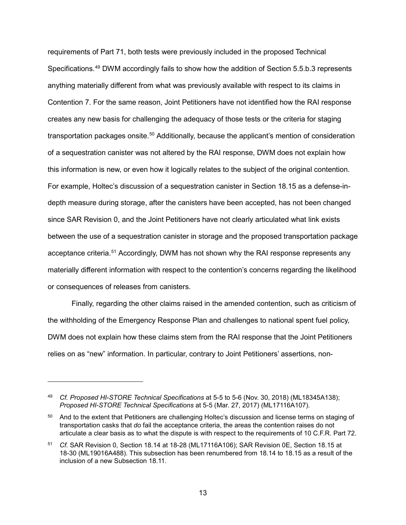requirements of Part 71, both tests were previously included in the proposed Technical Specifications.<sup>[49](#page-12-0)</sup> DWM accordingly fails to show how the addition of Section 5.5.b.3 represents anything materially different from what was previously available with respect to its claims in Contention 7. For the same reason, Joint Petitioners have not identified how the RAI response creates any new basis for challenging the adequacy of those tests or the criteria for staging transportation packages onsite.<sup>[50](#page-12-1)</sup> Additionally, because the applicant's mention of consideration of a sequestration canister was not altered by the RAI response, DWM does not explain how this information is new, or even how it logically relates to the subject of the original contention. For example, Holtec's discussion of a sequestration canister in Section 18.15 as a defense-indepth measure during storage, after the canisters have been accepted, has not been changed since SAR Revision 0, and the Joint Petitioners have not clearly articulated what link exists between the use of a sequestration canister in storage and the proposed transportation package acceptance criteria.<sup>[51](#page-12-2)</sup> Accordingly, DWM has not shown why the RAI response represents any materially different information with respect to the contention's concerns regarding the likelihood or consequences of releases from canisters.

Finally, regarding the other claims raised in the amended contention, such as criticism of the withholding of the Emergency Response Plan and challenges to national spent fuel policy, DWM does not explain how these claims stem from the RAI response that the Joint Petitioners relies on as "new" information. In particular, contrary to Joint Petitioners' assertions, non-

<span id="page-12-0"></span><sup>49</sup> *Cf. Proposed HI-STORE Technical Specifications* at 5-5 to 5-6 (Nov. 30, 2018) (ML18345A138); *Proposed HI-STORE Technical Specifications* at 5-5 (Mar. 27, 2017) (ML17116A107).

<span id="page-12-1"></span><sup>&</sup>lt;sup>50</sup> And to the extent that Petitioners are challenging Holtec's discussion and license terms on staging of transportation casks that *do* fail the acceptance criteria, the areas the contention raises do not articulate a clear basis as to what the dispute is with respect to the requirements of 10 C.F.R. Part 72.

<span id="page-12-2"></span><sup>51</sup> *Cf.* SAR Revision 0, Section 18.14 at 18-28 (ML17116A106); SAR Revision 0E, Section 18.15 at 18-30 (ML19016A488). This subsection has been renumbered from 18.14 to 18.15 as a result of the inclusion of a new Subsection 18.11.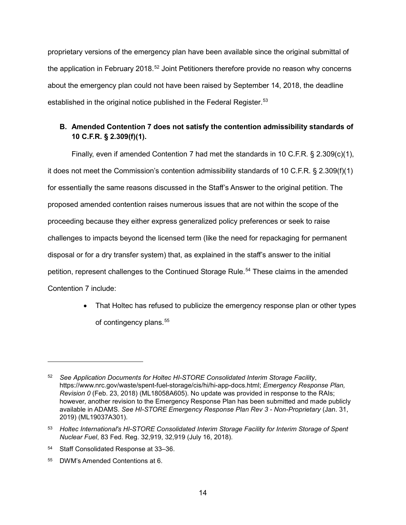proprietary versions of the emergency plan have been available since the original submittal of the application in February 2018.<sup>[52](#page-13-0)</sup> Joint Petitioners therefore provide no reason why concerns about the emergency plan could not have been raised by September 14, 2018, the deadline established in the original notice published in the Federal Register. [53](#page-13-1)

# **B. Amended Contention 7 does not satisfy the contention admissibility standards of 10 C.F.R. § 2.309(f)(1).**

Finally, even if amended Contention 7 had met the standards in 10 C.F.R. § 2.309(c)(1), it does not meet the Commission's contention admissibility standards of 10 C.F.R. § 2.309(f)(1) for essentially the same reasons discussed in the Staff's Answer to the original petition. The proposed amended contention raises numerous issues that are not within the scope of the proceeding because they either express generalized policy preferences or seek to raise challenges to impacts beyond the licensed term (like the need for repackaging for permanent disposal or for a dry transfer system) that, as explained in the staff's answer to the initial petition, represent challenges to the Continued Storage Rule.<sup>[54](#page-13-2)</sup> These claims in the amended Contention 7 include:

> • That Holtec has refused to publicize the emergency response plan or other types of contingency plans.<sup>[55](#page-13-3)</sup>

<span id="page-13-0"></span><sup>52</sup> *See Application Documents for Holtec HI-STORE Consolidated Interim Storage Facility*, https://www.nrc.gov/waste/spent-fuel-storage/cis/hi/hi-app-docs.html; *Emergency Response Plan, Revision 0* (Feb. 23, 2018) (ML18058A605). No update was provided in response to the RAIs; however, another revision to the Emergency Response Plan has been submitted and made publicly available in ADAMS. *See HI-STORE Emergency Response Plan Rev 3 - Non-Proprietary* (Jan. 31, 2019) (ML19037A301).

<span id="page-13-1"></span><sup>53</sup> *Holtec International's HI-STORE Consolidated Interim Storage Facility for Interim Storage of Spent Nuclear Fuel*, 83 Fed. Reg. 32,919, 32,919 (July 16, 2018).

<span id="page-13-2"></span><sup>54</sup> Staff Consolidated Response at 33–36.

<span id="page-13-3"></span><sup>55</sup> DWM's Amended Contentions at 6.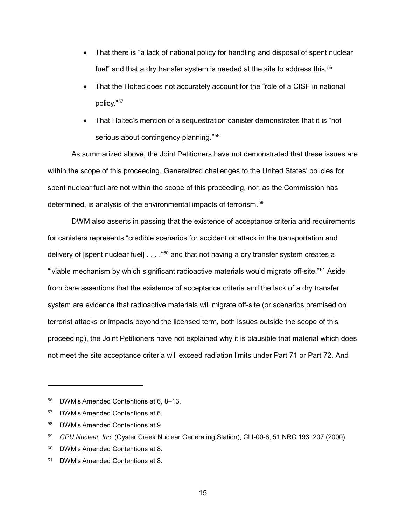- <span id="page-14-5"></span>• That there is "a lack of national policy for handling and disposal of spent nuclear fuel" and that a dry transfer system is needed at the site to address this.<sup>[56](#page-14-0)</sup>
- That the Holtec does not accurately account for the "role of a CISF in national policy."[57](#page-14-1)
- That Holtec's mention of a sequestration canister demonstrates that it is "not serious about contingency planning."<sup>[58](#page-14-2)</sup>

As summarized above, the Joint Petitioners have not demonstrated that these issues are within the scope of this proceeding. Generalized challenges to the United States' policies for spent nuclear fuel are not within the scope of this proceeding, nor, as the Commission has determined, is analysis of the environmental impacts of terrorism.<sup>[59](#page-14-3)</sup>

DWM also asserts in passing that the existence of acceptance criteria and requirements for canisters represents "credible scenarios for accident or attack in the transportation and delivery of [spent nuclear fuel]  $\dots$  ."<sup>[60](#page-14-4)</sup> and that not having a dry transfer system creates a "viable mechanism by which significant radioactive materials would migrate off-site."<sup>[61](#page-14-5)</sup> Aside from bare assertions that the existence of acceptance criteria and the lack of a dry transfer system are evidence that radioactive materials will migrate off-site (or scenarios premised on terrorist attacks or impacts beyond the licensed term, both issues outside the scope of this proceeding), the Joint Petitioners have not explained why it is plausible that material which does not meet the site acceptance criteria will exceed radiation limits under Part 71 or Part 72. And

 $\overline{a}$ 

15

<span id="page-14-0"></span><sup>56</sup> DWM's Amended Contentions at 6, 8–13.

<span id="page-14-1"></span><sup>57</sup> DWM's Amended Contentions at 6.

<span id="page-14-2"></span><sup>58</sup> DWM's Amended Contentions at 9.

<span id="page-14-3"></span><sup>59</sup> *GPU Nuclear, Inc.* (Oyster Creek Nuclear Generating Station), CLI-00-6, 51 NRC 193, 207 (2000).

<span id="page-14-4"></span><sup>60</sup> DWM's Amended Contentions at 8.

<sup>61</sup> DWM's Amended Contentions at 8.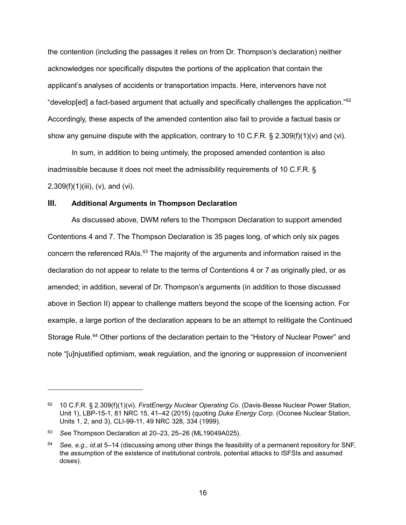<span id="page-15-2"></span>the contention (including the passages it relies on from Dr. Thompson's declaration) neither acknowledges nor specifically disputes the portions of the application that contain the applicant's analyses of accidents or transportation impacts. Here, intervenors have not "develop[ed] a fact-based argument that actually and specifically challenges the application."[62](#page-15-0) Accordingly, these aspects of the amended contention also fail to provide a factual basis or show any genuine dispute with the application, contrary to 10 C.F.R. § 2.309(f)(1)(v) and (vi).

In sum, in addition to being untimely, the proposed amended contention is also inadmissible because it does not meet the admissibility requirements of 10 C.F.R. §  $2.309(f)(1)(iii)$ , (v), and (vi).

#### **III. Additional Arguments in Thompson Declaration**

As discussed above, DWM refers to the Thompson Declaration to support amended Contentions 4 and 7. The Thompson Declaration is 35 pages long, of which only six pages concern the referenced RAIs.[63](#page-15-1) The majority of the arguments and information raised in the declaration do not appear to relate to the terms of Contentions 4 or 7 as originally pled, or as amended; in addition, several of Dr. Thompson's arguments (in addition to those discussed above in Section II) appear to challenge matters beyond the scope of the licensing action. For example, a large portion of the declaration appears to be an attempt to relitigate the Continued Storage Rule.<sup>[64](#page-15-2)</sup> Other portions of the declaration pertain to the "History of Nuclear Power" and note "[u]njustified optimism, weak regulation, and the ignoring or suppression of inconvenient

<span id="page-15-0"></span><sup>62</sup> 10 C.F.R. § 2.309(f)(1)(vi). *FirstEnergy Nuclear Operating Co.* (Davis-Besse Nuclear Power Station, Unit 1), LBP-15-1, 81 NRC 15, 41–42 (2015) (quoting *Duke Energy Corp.* (Oconee Nuclear Station, Units 1, 2, and 3), CLI-99-11, 49 NRC 328, 334 (1999).

<span id="page-15-1"></span><sup>63</sup> *See* Thompson Declaration at 20–23, 25–26 (ML19049A025).

See, e.g., id.at 5–14 (discussing among other things the feasibility of a permanent repository for SNF, the assumption of the existence of institutional controls, potential attacks to ISFSIs and assumed doses).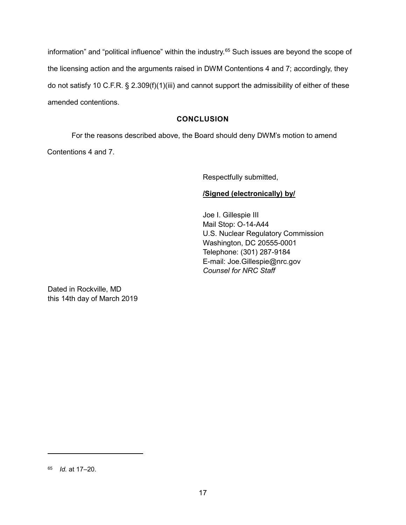information" and "political influence" within the industry.<sup>[65](#page-16-0)</sup> Such issues are beyond the scope of the licensing action and the arguments raised in DWM Contentions 4 and 7; accordingly, they do not satisfy 10 C.F.R. § 2.309(f)(1)(iii) and cannot support the admissibility of either of these amended contentions.

## **CONCLUSION**

For the reasons described above, the Board should deny DWM's motion to amend Contentions 4 and 7.

Respectfully submitted,

### **/Signed (electronically) by/**

Joe I. Gillespie III Mail Stop: O-14-A44 U.S. Nuclear Regulatory Commission Washington, DC 20555-0001 Telephone: (301) 287-9184 E-mail: Joe.Gillespie@nrc.gov *Counsel for NRC Staff*

Dated in Rockville, MD this 14th day of March 2019

<span id="page-16-0"></span><sup>65</sup> *Id.* at 17–20.